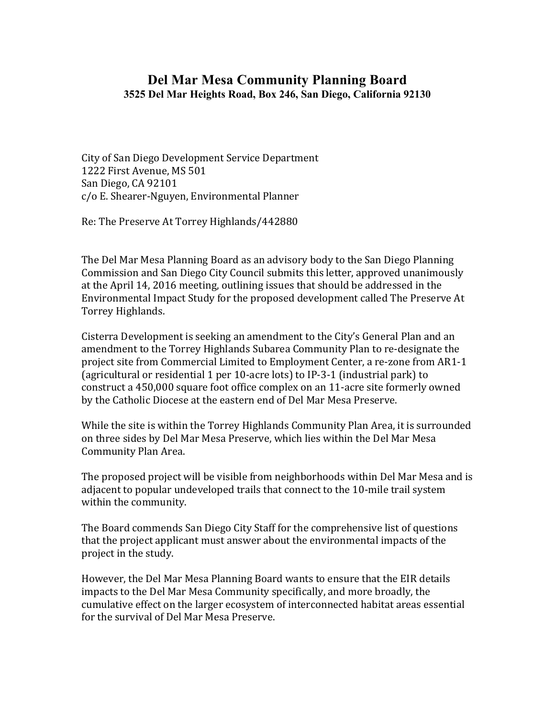## **Del Mar Mesa Community Planning Board 3525 Del Mar Heights Road, Box 246, San Diego, California 92130**

City of San Diego Development Service Department 1222 First Avenue, MS 501 San Diego, CA 92101 c/o E. Shearer-Nguyen, Environmental Planner

Re: The Preserve At Torrey Highlands/442880

The Del Mar Mesa Planning Board as an advisory body to the San Diego Planning Commission and San Diego City Council submits this letter, approved unanimously at the April 14, 2016 meeting, outlining issues that should be addressed in the Environmental Impact Study for the proposed development called The Preserve At Torrey Highlands.

Cisterra Development is seeking an amendment to the City's General Plan and an amendment to the Torrey Highlands Subarea Community Plan to re-designate the project site from Commercial Limited to Employment Center, a re-zone from AR1-1 (agricultural or residential 1 per 10-acre lots) to IP-3-1 (industrial park) to construct a 450,000 square foot office complex on an 11-acre site formerly owned by the Catholic Diocese at the eastern end of Del Mar Mesa Preserve.

While the site is within the Torrey Highlands Community Plan Area, it is surrounded on three sides by Del Mar Mesa Preserve, which lies within the Del Mar Mesa Community Plan Area.

The proposed project will be visible from neighborhoods within Del Mar Mesa and is adjacent to popular undeveloped trails that connect to the 10-mile trail system within the community.

The Board commends San Diego City Staff for the comprehensive list of questions that the project applicant must answer about the environmental impacts of the project in the study.

However, the Del Mar Mesa Planning Board wants to ensure that the EIR details impacts to the Del Mar Mesa Community specifically, and more broadly, the cumulative effect on the larger ecosystem of interconnected habitat areas essential for the survival of Del Mar Mesa Preserve.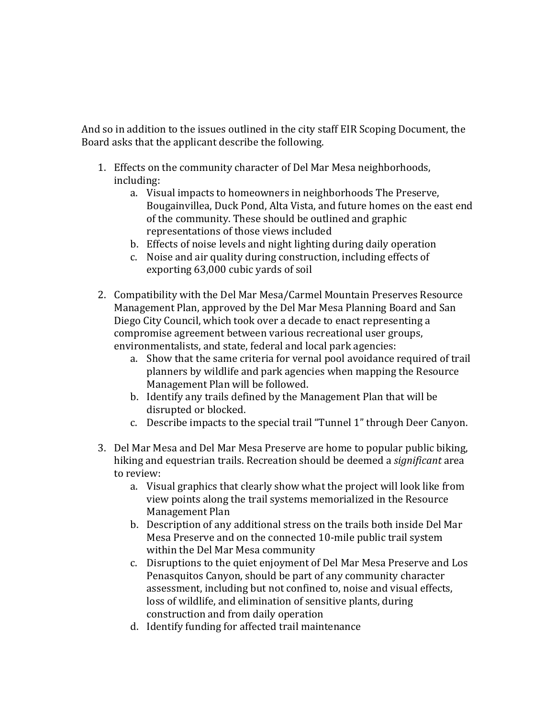And so in addition to the issues outlined in the city staff EIR Scoping Document, the Board asks that the applicant describe the following.

- 1. Effects on the community character of Del Mar Mesa neighborhoods, including:
	- a. Visual impacts to homeowners in neighborhoods The Preserve, Bougainvillea, Duck Pond, Alta Vista, and future homes on the east end of the community. These should be outlined and graphic representations of those views included
	- b. Effects of noise levels and night lighting during daily operation
	- c. Noise and air quality during construction, including effects of exporting 63,000 cubic yards of soil
- 2. Compatibility with the Del Mar Mesa/Carmel Mountain Preserves Resource Management Plan, approved by the Del Mar Mesa Planning Board and San Diego City Council, which took over a decade to enact representing a compromise agreement between various recreational user groups, environmentalists, and state, federal and local park agencies:
	- a. Show that the same criteria for vernal pool avoidance required of trail planners by wildlife and park agencies when mapping the Resource Management Plan will be followed.
	- b. Identify any trails defined by the Management Plan that will be disrupted or blocked.
	- c. Describe impacts to the special trail "Tunnel 1" through Deer Canyon.
- 3. Del Mar Mesa and Del Mar Mesa Preserve are home to popular public biking, hiking and equestrian trails. Recreation should be deemed a *significant* area to review:
	- a. Visual graphics that clearly show what the project will look like from view points along the trail systems memorialized in the Resource Management Plan
	- b. Description of any additional stress on the trails both inside Del Mar Mesa Preserve and on the connected 10-mile public trail system within the Del Mar Mesa community
	- c. Disruptions to the quiet enjoyment of Del Mar Mesa Preserve and Los Penasquitos Canyon, should be part of any community character assessment, including but not confined to, noise and visual effects, loss of wildlife, and elimination of sensitive plants, during construction and from daily operation
	- d. Identify funding for affected trail maintenance